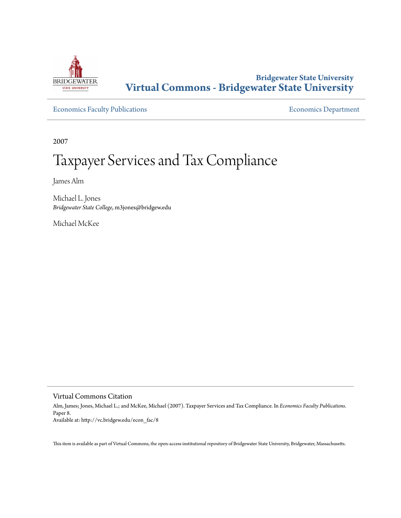

# **Bridgewater State University [Virtual Commons - Bridgewater State University](http://vc.bridgew.edu)**

[Economics Faculty Publications](http://vc.bridgew.edu/econ_fac) **Economics** Department

2007

# Taxpayer Services and Tax Compliance

James Alm

Michael L. Jones *Bridgewater State College*, m3jones@bridgew.edu

Michael McKee

Virtual Commons Citation

Alm, James; Jones, Michael L.; and McKee, Michael (2007). Taxpayer Services and Tax Compliance. In *Economics Faculty Publications.* Paper 8. Available at: http://vc.bridgew.edu/econ\_fac/8

This item is available as part of Virtual Commons, the open-access institutional repository of Bridgewater State University, Bridgewater, Massachusetts.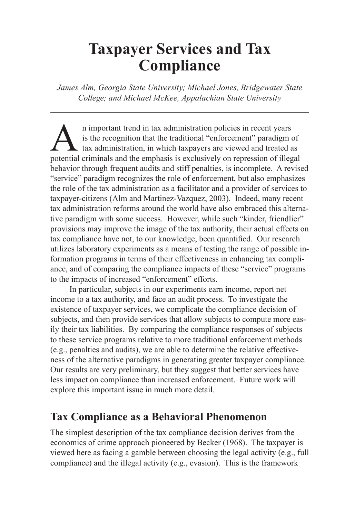# **Taxpayer Services and Tax Compliance**

*James Alm, Georgia State University; Michael Jones, Bridgewater State College; and Michael McKee, Appalachian State University*

n important trend in tax administration policies in recent years<br>is the recognition that the traditional "enforcement" paradigm of<br>tax administration, in which taxpayers are viewed and treated a<br>potential criminals and the is the recognition that the traditional "enforcement" paradigm of  $\Box$  tax administration, in which taxpayers are viewed and treated as potential criminals and the emphasis is exclusively on repression of illegal behavior through frequent audits and stiff penalties, is incomplete. A revised "service" paradigm recognizes the role of enforcement, but also emphasizes the role of the tax administration as a facilitator and a provider of services to taxpayer-citizens (Alm and Martinez-Vazquez, 2003). Indeed, many recent tax administration reforms around the world have also embraced this alternative paradigm with some success. However, while such "kinder, friendlier" provisions may improve the image of the tax authority, their actual effects on tax compliance have not, to our knowledge, been quantified. Our research utilizes laboratory experiments as a means of testing the range of possible information programs in terms of their effectiveness in enhancing tax compliance, and of comparing the compliance impacts of these "service" programs to the impacts of increased "enforcement" efforts.

In particular, subjects in our experiments earn income, report net income to a tax authority, and face an audit process. To investigate the existence of taxpayer services, we complicate the compliance decision of subjects, and then provide services that allow subjects to compute more easily their tax liabilities. By comparing the compliance responses of subjects to these service programs relative to more traditional enforcement methods (e.g., penalties and audits), we are able to determine the relative effectiveness of the alternative paradigms in generating greater taxpayer compliance. Our results are very preliminary, but they suggest that better services have less impact on compliance than increased enforcement. Future work will explore this important issue in much more detail.

# **Tax Compliance as a Behavioral Phenomenon**

The simplest description of the tax compliance decision derives from the economics of crime approach pioneered by Becker (1968). The taxpayer is viewed here as facing a gamble between choosing the legal activity (e.g., full compliance) and the illegal activity (e.g., evasion). This is the framework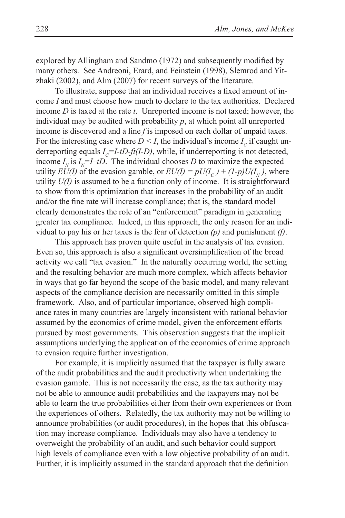explored by Allingham and Sandmo (1972) and subsequently modified by many others. See Andreoni, Erard, and Feinstein (1998), Slemrod and Yitzhaki (2002), and Alm (2007) for recent surveys of the literature.

To illustrate, suppose that an individual receives a fixed amount of income *I* and must choose how much to declare to the tax authorities. Declared income *D* is taxed at the rate *t*. Unreported income is not taxed; however, the individual may be audited with probability  $p$ , at which point all unreported income is discovered and a fine *f* is imposed on each dollar of unpaid taxes. For the interesting case where  $D \leq I$ , the individual's income  $I_c$  if caught underreporting equals  $I_c = I - tD - ft(I - D)$ , while, if underreporting is not detected, income  $I_N$  is  $I_N = I - tD$ . The individual chooses *D* to maximize the expected utility  $EU(I)$  of the evasion gamble, or  $EU(I) = pU(I_C) + (1-p)U(I_N)$ , where utility *U(I)* is assumed to be a function only of income. It is straightforward to show from this optimization that increases in the probability of an audit and/or the fine rate will increase compliance; that is, the standard model clearly demonstrates the role of an "enforcement" paradigm in generating greater tax compliance. Indeed, in this approach, the only reason for an individual to pay his or her taxes is the fear of detection *(p)* and punishment *(f)*.

This approach has proven quite useful in the analysis of tax evasion. Even so, this approach is also a significant oversimplification of the broad activity we call "tax evasion." In the naturally occurring world, the setting and the resulting behavior are much more complex, which affects behavior in ways that go far beyond the scope of the basic model, and many relevant aspects of the compliance decision are necessarily omitted in this simple framework. Also, and of particular importance, observed high compliance rates in many countries are largely inconsistent with rational behavior assumed by the economics of crime model, given the enforcement efforts pursued by most governments. This observation suggests that the implicit assumptions underlying the application of the economics of crime approach to evasion require further investigation.

For example, it is implicitly assumed that the taxpayer is fully aware of the audit probabilities and the audit productivity when undertaking the evasion gamble. This is not necessarily the case, as the tax authority may not be able to announce audit probabilities and the taxpayers may not be able to learn the true probabilities either from their own experiences or from the experiences of others. Relatedly, the tax authority may not be willing to announce probabilities (or audit procedures), in the hopes that this obfuscation may increase compliance. Individuals may also have a tendency to overweight the probability of an audit, and such behavior could support high levels of compliance even with a low objective probability of an audit. Further, it is implicitly assumed in the standard approach that the definition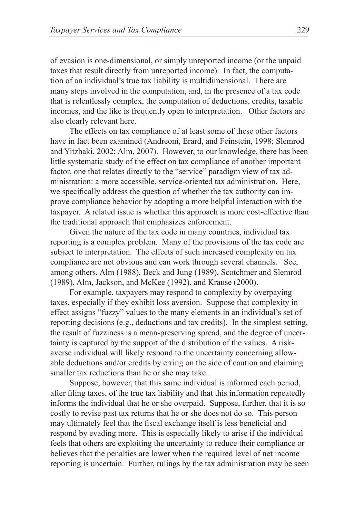of evasion is one-dimensional, or simply unreported income (or the unpaid taxes that result directly from unreported income). In fact, the computation of an individual's true tax liability is multidimensional. There are many steps involved in the computation, and, in the presence of a tax code that is relentlessly complex, the computation of deductions, credits, taxable incomes, and the like is frequently open to interpretation. Other factors are also clearly relevant here.

The effects on tax compliance of at least some of these other factors have in fact been examined (Andreoni, Erard, and Feinstein, 1998; Slemrod and Yitzhaki, 2002; Alm, 2007). However, to our knowledge, there has been little systematic study of the effect on tax compliance of another important factor, one that relates directly to the "service" paradigm view of tax administration: a more accessible, service-oriented tax administration. Here, we specifically address the question of whether the tax authority can improve compliance behavior by adopting a more helpful interaction with the taxpayer. A related issue is whether this approach is more cost-effective than the traditional approach that emphasizes enforcement.

Given the nature of the tax code in many countries, individual tax reporting is a complex problem. Many of the provisions of the tax code are subject to interpretation. The effects of such increased complexity on tax compliance are not obvious and can work through several channels. See, among others, Alm (1988), Beck and Jung (1989), Scotchmer and Slemrod (1989), Alm, Jackson, and McKee (1992), and Krause (2000).

For example, taxpayers may respond to complexity by overpaying taxes, especially if they exhibit loss aversion. Suppose that complexity in effect assigns "fuzzy" values to the many elements in an individual's set of reporting decisions (e.g., deductions and tax credits). In the simplest setting, the result of fuzziness is a mean-preserving spread, and the degree of uncertainty is captured by the support of the distribution of the values. A riskaverse individual will likely respond to the uncertainty concerning allowable deductions and/or credits by erring on the side of caution and claiming smaller tax reductions than he or she may take.

Suppose, however, that this same individual is informed each period, after filing taxes, of the true tax liability and that this information repeatedly informs the individual that he or she overpaid. Suppose, further, that it is so costly to revise past tax returns that he or she does not do so. This person may ultimately feel that the fiscal exchange itself is less beneficial and respond by evading more. This is especially likely to arise if the individual feels that others are exploiting the uncertainty to reduce their compliance or believes that the penalties are lower when the required level of net income reporting is uncertain. Further, rulings by the tax administration may be seen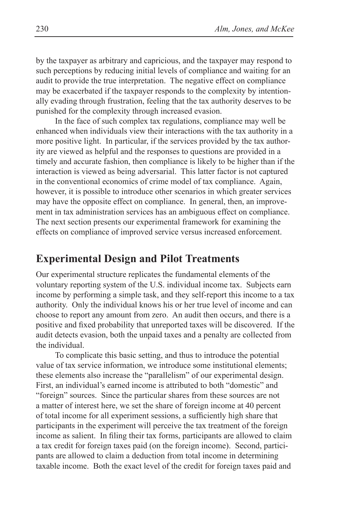by the taxpayer as arbitrary and capricious, and the taxpayer may respond to such perceptions by reducing initial levels of compliance and waiting for an audit to provide the true interpretation. The negative effect on compliance may be exacerbated if the taxpayer responds to the complexity by intentionally evading through frustration, feeling that the tax authority deserves to be punished for the complexity through increased evasion.

In the face of such complex tax regulations, compliance may well be enhanced when individuals view their interactions with the tax authority in a more positive light. In particular, if the services provided by the tax authority are viewed as helpful and the responses to questions are provided in a timely and accurate fashion, then compliance is likely to be higher than if the interaction is viewed as being adversarial. This latter factor is not captured in the conventional economics of crime model of tax compliance. Again, however, it is possible to introduce other scenarios in which greater services may have the opposite effect on compliance. In general, then, an improvement in tax administration services has an ambiguous effect on compliance. The next section presents our experimental framework for examining the effects on compliance of improved service versus increased enforcement.

#### **Experimental Design and Pilot Treatments**

Our experimental structure replicates the fundamental elements of the voluntary reporting system of the U.S. individual income tax. Subjects earn income by performing a simple task, and they self-report this income to a tax authority. Only the individual knows his or her true level of income and can choose to report any amount from zero. An audit then occurs, and there is a positive and fixed probability that unreported taxes will be discovered. If the audit detects evasion, both the unpaid taxes and a penalty are collected from the individual.

To complicate this basic setting, and thus to introduce the potential value of tax service information, we introduce some institutional elements; these elements also increase the "parallelism" of our experimental design. First, an individual's earned income is attributed to both "domestic" and "foreign" sources. Since the particular shares from these sources are not a matter of interest here, we set the share of foreign income at 40 percent of total income for all experiment sessions, a sufficiently high share that participants in the experiment will perceive the tax treatment of the foreign income as salient. In filing their tax forms, participants are allowed to claim a tax credit for foreign taxes paid (on the foreign income). Second, participants are allowed to claim a deduction from total income in determining taxable income. Both the exact level of the credit for foreign taxes paid and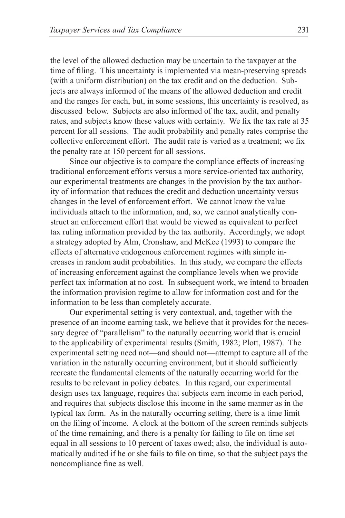the level of the allowed deduction may be uncertain to the taxpayer at the time of filing. This uncertainty is implemented via mean-preserving spreads (with a uniform distribution) on the tax credit and on the deduction. Subjects are always informed of the means of the allowed deduction and credit and the ranges for each, but, in some sessions, this uncertainty is resolved, as discussed below. Subjects are also informed of the tax, audit, and penalty rates, and subjects know these values with certainty. We fix the tax rate at 35 percent for all sessions. The audit probability and penalty rates comprise the collective enforcement effort. The audit rate is varied as a treatment; we fix the penalty rate at 150 percent for all sessions.

Since our objective is to compare the compliance effects of increasing traditional enforcement efforts versus a more service-oriented tax authority, our experimental treatments are changes in the provision by the tax authority of information that reduces the credit and deduction uncertainty versus changes in the level of enforcement effort. We cannot know the value individuals attach to the information, and, so, we cannot analytically construct an enforcement effort that would be viewed as equivalent to perfect tax ruling information provided by the tax authority. Accordingly, we adopt a strategy adopted by Alm, Cronshaw, and McKee (1993) to compare the effects of alternative endogenous enforcement regimes with simple increases in random audit probabilities. In this study, we compare the effects of increasing enforcement against the compliance levels when we provide perfect tax information at no cost. In subsequent work, we intend to broaden the information provision regime to allow for information cost and for the information to be less than completely accurate.

Our experimental setting is very contextual, and, together with the presence of an income earning task, we believe that it provides for the necessary degree of "parallelism" to the naturally occurring world that is crucial to the applicability of experimental results (Smith, 1982; Plott, 1987). The experimental setting need not—and should not—attempt to capture all of the variation in the naturally occurring environment, but it should sufficiently recreate the fundamental elements of the naturally occurring world for the results to be relevant in policy debates. In this regard, our experimental design uses tax language, requires that subjects earn income in each period, and requires that subjects disclose this income in the same manner as in the typical tax form. As in the naturally occurring setting, there is a time limit on the filing of income. A clock at the bottom of the screen reminds subjects of the time remaining, and there is a penalty for failing to file on time set equal in all sessions to 10 percent of taxes owed; also, the individual is automatically audited if he or she fails to file on time, so that the subject pays the noncompliance fine as well.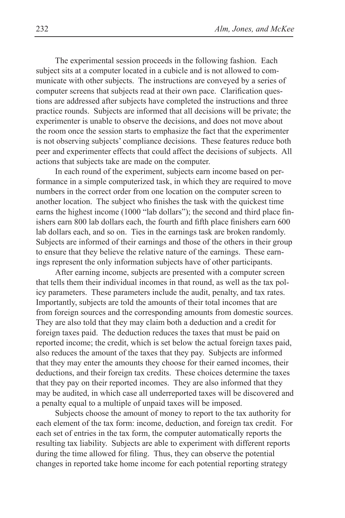The experimental session proceeds in the following fashion. Each subject sits at a computer located in a cubicle and is not allowed to communicate with other subjects. The instructions are conveyed by a series of computer screens that subjects read at their own pace. Clarification questions are addressed after subjects have completed the instructions and three practice rounds. Subjects are informed that all decisions will be private; the experimenter is unable to observe the decisions, and does not move about the room once the session starts to emphasize the fact that the experimenter is not observing subjects' compliance decisions. These features reduce both peer and experimenter effects that could affect the decisions of subjects. All actions that subjects take are made on the computer.

In each round of the experiment, subjects earn income based on performance in a simple computerized task, in which they are required to move numbers in the correct order from one location on the computer screen to another location. The subject who finishes the task with the quickest time earns the highest income (1000 "lab dollars"); the second and third place finishers earn 800 lab dollars each, the fourth and fifth place finishers earn 600 lab dollars each, and so on. Ties in the earnings task are broken randomly. Subjects are informed of their earnings and those of the others in their group to ensure that they believe the relative nature of the earnings. These earnings represent the only information subjects have of other participants.

After earning income, subjects are presented with a computer screen that tells them their individual incomes in that round, as well as the tax policy parameters. These parameters include the audit, penalty, and tax rates. Importantly, subjects are told the amounts of their total incomes that are from foreign sources and the corresponding amounts from domestic sources. They are also told that they may claim both a deduction and a credit for foreign taxes paid. The deduction reduces the taxes that must be paid on reported income; the credit, which is set below the actual foreign taxes paid, also reduces the amount of the taxes that they pay. Subjects are informed that they may enter the amounts they choose for their earned incomes, their deductions, and their foreign tax credits. These choices determine the taxes that they pay on their reported incomes. They are also informed that they may be audited, in which case all underreported taxes will be discovered and a penalty equal to a multiple of unpaid taxes will be imposed.

Subjects choose the amount of money to report to the tax authority for each element of the tax form: income, deduction, and foreign tax credit. For each set of entries in the tax form, the computer automatically reports the resulting tax liability. Subjects are able to experiment with different reports during the time allowed for filing. Thus, they can observe the potential changes in reported take home income for each potential reporting strategy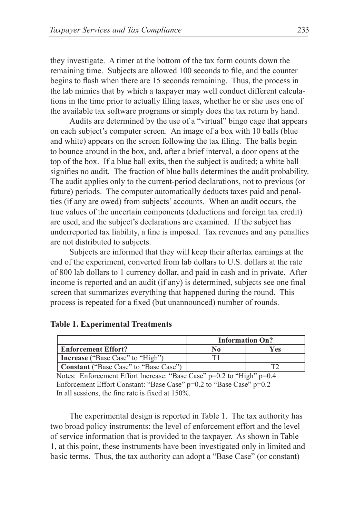they investigate. A timer at the bottom of the tax form counts down the remaining time. Subjects are allowed 100 seconds to file, and the counter begins to flash when there are 15 seconds remaining. Thus, the process in the lab mimics that by which a taxpayer may well conduct different calculations in the time prior to actually filing taxes, whether he or she uses one of the available tax software programs or simply does the tax return by hand.

Audits are determined by the use of a "virtual" bingo cage that appears on each subject's computer screen. An image of a box with 10 balls (blue and white) appears on the screen following the tax filing. The balls begin to bounce around in the box, and, after a brief interval, a door opens at the top of the box. If a blue ball exits, then the subject is audited; a white ball signifies no audit. The fraction of blue balls determines the audit probability. The audit applies only to the current-period declarations, not to previous (or future) periods. The computer automatically deducts taxes paid and penalties (if any are owed) from subjects' accounts. When an audit occurs, the true values of the uncertain components (deductions and foreign tax credit) are used, and the subject's declarations are examined. If the subject has underreported tax liability, a fine is imposed. Tax revenues and any penalties are not distributed to subjects.

Subjects are informed that they will keep their aftertax earnings at the end of the experiment, converted from lab dollars to U.S. dollars at the rate of 800 lab dollars to 1 currency dollar, and paid in cash and in private. After income is reported and an audit (if any) is determined, subjects see one final screen that summarizes everything that happened during the round. This process is repeated for a fixed (but unannounced) number of rounds.

|                                         | <b>Information On?</b> |     |
|-----------------------------------------|------------------------|-----|
| <b>Enforcement Effort?</b>              | No                     | Yes |
| <b>Increase</b> ("Base Case" to "High") |                        |     |
| Constant ("Base Case" to "Base Case")   |                        |     |

**Table 1. Experimental Treatments**

Notes: Enforcement Effort Increase: "Base Case" p=0.2 to "High" p=0.4 Enforcement Effort Constant: "Base Case" p=0.2 to "Base Case" p=0.2 In all sessions, the fine rate is fixed at 150%.

The experimental design is reported in Table 1. The tax authority has two broad policy instruments: the level of enforcement effort and the level of service information that is provided to the taxpayer. As shown in Table 1, at this point, these instruments have been investigated only in limited and basic terms. Thus, the tax authority can adopt a "Base Case" (or constant)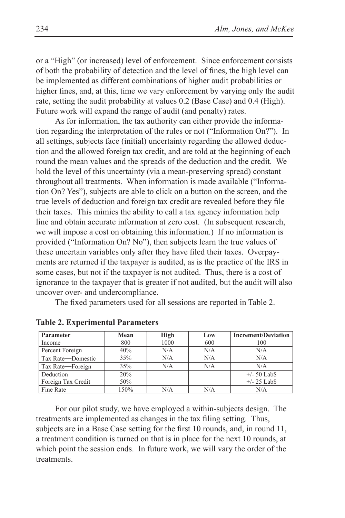or a "High" (or increased) level of enforcement. Since enforcement consists of both the probability of detection and the level of fines, the high level can be implemented as different combinations of higher audit probabilities or higher fines, and, at this, time we vary enforcement by varying only the audit rate, setting the audit probability at values 0.2 (Base Case) and 0.4 (High). Future work will expand the range of audit (and penalty) rates.

As for information, the tax authority can either provide the information regarding the interpretation of the rules or not ("Information On?"). In all settings, subjects face (initial) uncertainty regarding the allowed deduction and the allowed foreign tax credit, and are told at the beginning of each round the mean values and the spreads of the deduction and the credit. We hold the level of this uncertainty (via a mean-preserving spread) constant throughout all treatments. When information is made available ("Information On? Yes"), subjects are able to click on a button on the screen, and the true levels of deduction and foreign tax credit are revealed before they file their taxes. This mimics the ability to call a tax agency information help line and obtain accurate information at zero cost. (In subsequent research, we will impose a cost on obtaining this information.) If no information is provided ("Information On? No"), then subjects learn the true values of these uncertain variables only after they have filed their taxes. Overpayments are returned if the taxpayer is audited, as is the practice of the IRS in some cases, but not if the taxpayer is not audited. Thus, there is a cost of ignorance to the taxpayer that is greater if not audited, but the audit will also uncover over- and undercompliance.

The fixed parameters used for all sessions are reported in Table 2.

| Parameter          | Mean | High | Low | <b>Increment/Deviation</b> |
|--------------------|------|------|-----|----------------------------|
| Income             | 800  | 1000 | 600 | 100                        |
| Percent Foreign    | 40%  | N/A  | N/A | N/A                        |
| Tax Rate-Domestic  | 35%  | N/A  | N/A | N/A                        |
| Tax Rate-Foreign   | 35%  | N/A  | N/A | N/A                        |
| Deduction          | 20%  |      |     | $+/- 50$ Lab $$$           |
| Foreign Tax Credit | 50%  |      |     | $+/- 25$ Lab <sub>S</sub>  |
| Fine Rate          | 150% | N/A  | N/A | N/A                        |

**Table 2. Experimental Parameters**

For our pilot study, we have employed a within-subjects design. The treatments are implemented as changes in the tax filing setting. Thus, subjects are in a Base Case setting for the first 10 rounds, and, in round 11, a treatment condition is turned on that is in place for the next 10 rounds, at which point the session ends. In future work, we will vary the order of the **treatments**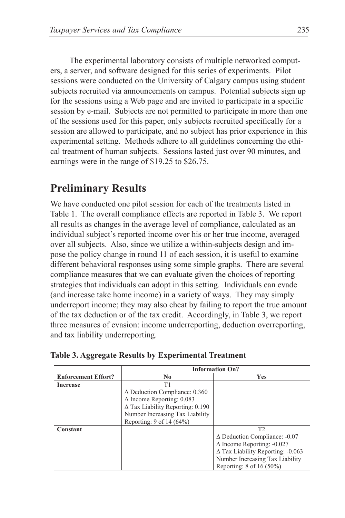The experimental laboratory consists of multiple networked computers, a server, and software designed for this series of experiments. Pilot sessions were conducted on the University of Calgary campus using student subjects recruited via announcements on campus. Potential subjects sign up for the sessions using a Web page and are invited to participate in a specific session by e-mail. Subjects are not permitted to participate in more than one of the sessions used for this paper, only subjects recruited specifically for a session are allowed to participate, and no subject has prior experience in this experimental setting. Methods adhere to all guidelines concerning the ethical treatment of human subjects. Sessions lasted just over 90 minutes, and earnings were in the range of \$19.25 to \$26.75.

# **Preliminary Results**

We have conducted one pilot session for each of the treatments listed in Table 1. The overall compliance effects are reported in Table 3. We report all results as changes in the average level of compliance, calculated as an individual subject's reported income over his or her true income, averaged over all subjects. Also, since we utilize a within-subjects design and impose the policy change in round 11 of each session, it is useful to examine different behavioral responses using some simple graphs. There are several compliance measures that we can evaluate given the choices of reporting strategies that individuals can adopt in this setting. Individuals can evade (and increase take home income) in a variety of ways. They may simply underreport income; they may also cheat by failing to report the true amount of the tax deduction or of the tax credit. Accordingly, in Table 3, we report three measures of evasion: income underreporting, deduction overreporting, and tax liability underreporting.

|                            | <b>Information On?</b>                  |                                          |  |
|----------------------------|-----------------------------------------|------------------------------------------|--|
| <b>Enforcement Effort?</b> | N <sub>0</sub>                          | <b>Yes</b>                               |  |
| Increase                   | Τ1                                      |                                          |  |
|                            | $\Delta$ Deduction Compliance: 0.360    |                                          |  |
|                            | $\Delta$ Income Reporting: 0.083        |                                          |  |
|                            | $\Delta$ Tax Liability Reporting: 0.190 |                                          |  |
|                            | Number Increasing Tax Liability         |                                          |  |
|                            | Reporting: 9 of 14 (64%)                |                                          |  |
| Constant                   |                                         | T2                                       |  |
|                            |                                         | $\Delta$ Deduction Compliance: -0.07     |  |
|                            |                                         | $\Delta$ Income Reporting: -0.027        |  |
|                            |                                         | $\Delta$ Tax Liability Reporting: -0.063 |  |
|                            |                                         | Number Increasing Tax Liability          |  |
|                            |                                         | Reporting: $8$ of 16 (50%)               |  |

**Table 3. Aggregate Results by Experimental Treatment**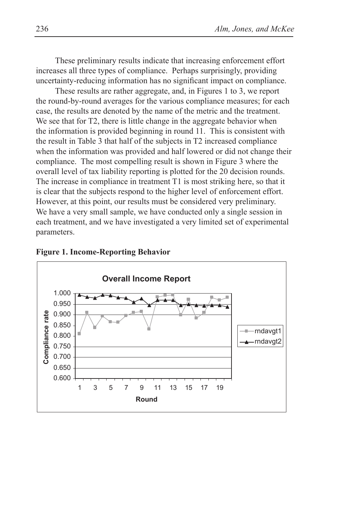These preliminary results indicate that increasing enforcement effort increases all three types of compliance. Perhaps surprisingly, providing uncertainty-reducing information has no significant impact on compliance.

These results are rather aggregate, and, in Figures 1 to 3, we report the round-by-round averages for the various compliance measures; for each case, the results are denoted by the name of the metric and the treatment. We see that for T2, there is little change in the aggregate behavior when the information is provided beginning in round 11. This is consistent with the result in Table 3 that half of the subjects in T2 increased compliance when the information was provided and half lowered or did not change their compliance. The most compelling result is shown in Figure 3 where the overall level of tax liability reporting is plotted for the 20 decision rounds. The increase in compliance in treatment T1 is most striking here, so that it is clear that the subjects respond to the higher level of enforcement effort. However, at this point, our results must be considered very preliminary. We have a very small sample, we have conducted only a single session in each treatment, and we have investigated a very limited set of experimental parameters.



#### **Figure 1. Income-Reporting Behavior**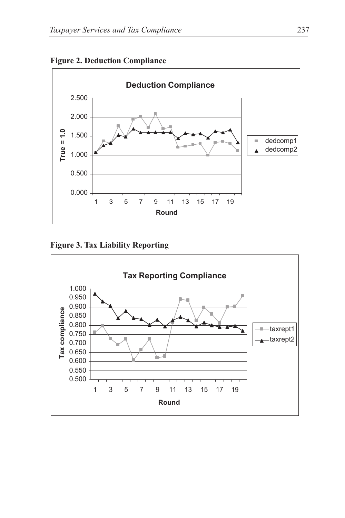

**Figure 2. Deduction Compliance**

Figure 3. Tax Liability Reporting

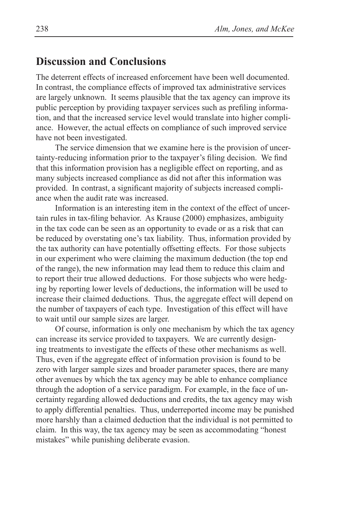#### **Discussion and Conclusions**

The deterrent effects of increased enforcement have been well documented. In contrast, the compliance effects of improved tax administrative services are largely unknown. It seems plausible that the tax agency can improve its public perception by providing taxpayer services such as prefiling information, and that the increased service level would translate into higher compliance. However, the actual effects on compliance of such improved service have not been investigated.

The service dimension that we examine here is the provision of uncertainty-reducing information prior to the taxpayer's filing decision. We find that this information provision has a negligible effect on reporting, and as many subjects increased compliance as did not after this information was provided. In contrast, a significant majority of subjects increased compliance when the audit rate was increased.

Information is an interesting item in the context of the effect of uncertain rules in tax-filing behavior. As Krause (2000) emphasizes, ambiguity in the tax code can be seen as an opportunity to evade or as a risk that can be reduced by overstating one's tax liability. Thus, information provided by the tax authority can have potentially offsetting effects. For those subjects in our experiment who were claiming the maximum deduction (the top end of the range), the new information may lead them to reduce this claim and to report their true allowed deductions. For those subjects who were hedging by reporting lower levels of deductions, the information will be used to increase their claimed deductions. Thus, the aggregate effect will depend on the number of taxpayers of each type. Investigation of this effect will have to wait until our sample sizes are larger.

Of course, information is only one mechanism by which the tax agency can increase its service provided to taxpayers. We are currently designing treatments to investigate the effects of these other mechanisms as well. Thus, even if the aggregate effect of information provision is found to be zero with larger sample sizes and broader parameter spaces, there are many other avenues by which the tax agency may be able to enhance compliance through the adoption of a service paradigm. For example, in the face of uncertainty regarding allowed deductions and credits, the tax agency may wish to apply differential penalties. Thus, underreported income may be punished more harshly than a claimed deduction that the individual is not permitted to claim. In this way, the tax agency may be seen as accommodating "honest mistakes" while punishing deliberate evasion.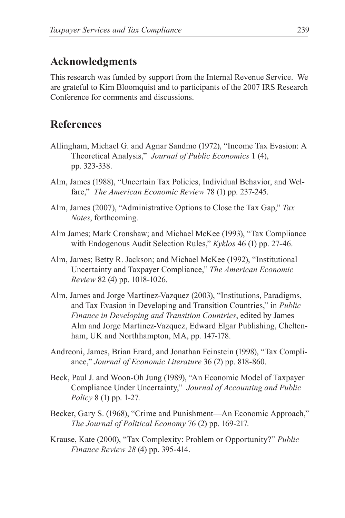## **Acknowledgments**

This research was funded by support from the Internal Revenue Service. We are grateful to Kim Bloomquist and to participants of the 2007 IRS Research Conference for comments and discussions.

### **References**

- Allingham, Michael G. and Agnar Sandmo (1972), "Income Tax Evasion: A Theoretical Analysis," *Journal of Public Economics* 1 (4), pp. 323-338.
- Alm, James (1988), "Uncertain Tax Policies, Individual Behavior, and Welfare," *The American Economic Review* 78 (1) pp. 237-245.
- Alm, James (2007), "Administrative Options to Close the Tax Gap," *Tax Notes*, forthcoming.
- Alm James; Mark Cronshaw; and Michael McKee (1993), "Tax Compliance with Endogenous Audit Selection Rules," *Kyklos* 46 (1) pp. 27-46.
- Alm, James; Betty R. Jackson; and Michael McKee (1992), "Institutional Uncertainty and Taxpayer Compliance," *The American Economic Review* 82 (4) pp. 1018-1026.
- Alm, James and Jorge Martinez-Vazquez (2003), "Institutions, Paradigms, and Tax Evasion in Developing and Transition Countries," in *Public Finance in Developing and Transition Countries*, edited by James Alm and Jorge Martinez-Vazquez, Edward Elgar Publishing, Cheltenham, UK and Northhampton, MA, pp. 147-178.
- Andreoni, James, Brian Erard, and Jonathan Feinstein (1998), "Tax Compliance," *Journal of Economic Literature* 36 (2) pp. 818-860.
- Beck, Paul J. and Woon-Oh Jung (1989), "An Economic Model of Taxpayer Compliance Under Uncertainty," *Journal of Accounting and Public Policy* 8 (1) pp. 1-27.
- Becker, Gary S. (1968), "Crime and Punishment—An Economic Approach," *The Journal of Political Economy* 76 (2) pp. 169-217.
- Krause, Kate (2000), "Tax Complexity: Problem or Opportunity?" *Public Finance Review 28* (4) pp. 395-414.